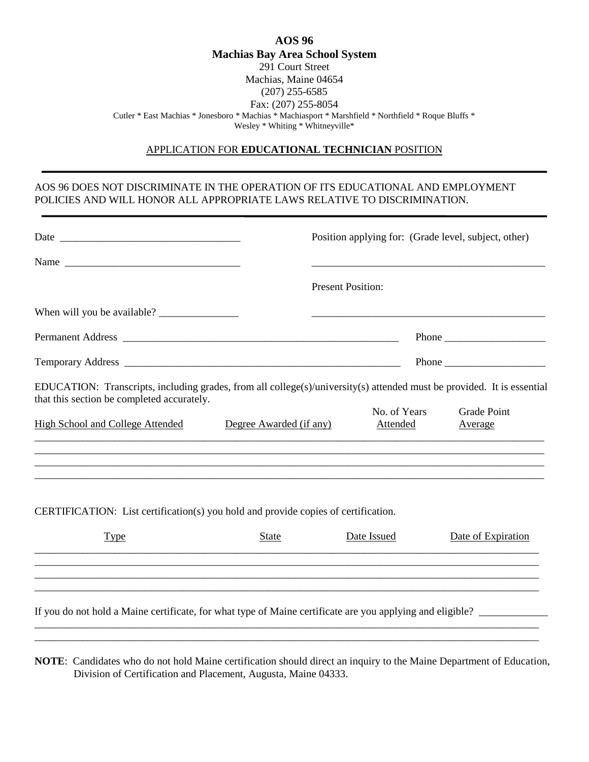| AOS 96                                                                                               |  |  |  |  |
|------------------------------------------------------------------------------------------------------|--|--|--|--|
| <b>Machias Bay Area School System</b>                                                                |  |  |  |  |
| 291 Court Street                                                                                     |  |  |  |  |
| Machias, Maine 04654                                                                                 |  |  |  |  |
| $(207)$ 255-6585                                                                                     |  |  |  |  |
| Fax: (207) 255-8054                                                                                  |  |  |  |  |
| * Cutler * East Machias * Jonesboro * Machias * Machiasport * Marshfield * Northfield * Roque Bluffs |  |  |  |  |
| Wesley * Whiting * Whitneyville *                                                                    |  |  |  |  |

## APPLICATION FOR **EDUCATIONAL TECHNICIAN** POSITION

## AOS 96 DOES NOT DISCRIMINATE IN THE OPERATION OF ITS EDUCATIONAL AND EMPLOYMENT POLICIES AND WILL HONOR ALL APPROPRIATE LAWS RELATIVE TO DISCRIMINATION.

|                                                                                                                                                                      |                         | Position applying for: (Grade level, subject, other) |                               |
|----------------------------------------------------------------------------------------------------------------------------------------------------------------------|-------------------------|------------------------------------------------------|-------------------------------|
|                                                                                                                                                                      |                         |                                                      |                               |
|                                                                                                                                                                      |                         | <b>Present Position:</b>                             |                               |
|                                                                                                                                                                      |                         |                                                      |                               |
|                                                                                                                                                                      |                         |                                                      |                               |
|                                                                                                                                                                      |                         |                                                      |                               |
| EDUCATION: Transcripts, including grades, from all college(s)/university(s) attended must be provided. It is essential<br>that this section be completed accurately. |                         |                                                      |                               |
| High School and College Attended                                                                                                                                     | Degree Awarded (if any) | No. of Years<br>Attended                             | <b>Grade Point</b><br>Average |
|                                                                                                                                                                      |                         |                                                      |                               |
|                                                                                                                                                                      |                         |                                                      |                               |

CERTIFICATION: List certification(s) you hold and provide copies of certification.

| $I$ ype                                                                                                   | <b>State</b> | Date Issued | Date of Expiration |  |  |  |  |
|-----------------------------------------------------------------------------------------------------------|--------------|-------------|--------------------|--|--|--|--|
|                                                                                                           |              |             |                    |  |  |  |  |
|                                                                                                           |              |             |                    |  |  |  |  |
| If you do not hold a Maine certificate, for what type of Maine certificate are you applying and eligible? |              |             |                    |  |  |  |  |

\_\_\_\_\_\_\_\_\_\_\_\_\_\_\_\_\_\_\_\_\_\_\_\_\_\_\_\_\_\_\_\_\_\_\_\_\_\_\_\_\_\_\_\_\_\_\_\_\_\_\_\_\_\_\_\_\_\_\_\_\_\_\_\_\_\_\_\_\_\_\_\_\_\_\_\_\_\_\_\_\_\_\_\_\_\_\_\_\_\_\_\_\_\_\_ \_\_\_\_\_\_\_\_\_\_\_\_\_\_\_\_\_\_\_\_\_\_\_\_\_\_\_\_\_\_\_\_\_\_\_\_\_\_\_\_\_\_\_\_\_\_\_\_\_\_\_\_\_\_\_\_\_\_\_\_\_\_\_\_\_\_\_\_\_\_\_\_\_\_\_\_\_\_\_\_\_\_\_\_\_\_\_\_\_\_\_\_\_\_\_

**NOTE**: Candidates who do not hold Maine certification should direct an inquiry to the Maine Department of Education, Division of Certification and Placement, Augusta, Maine 04333.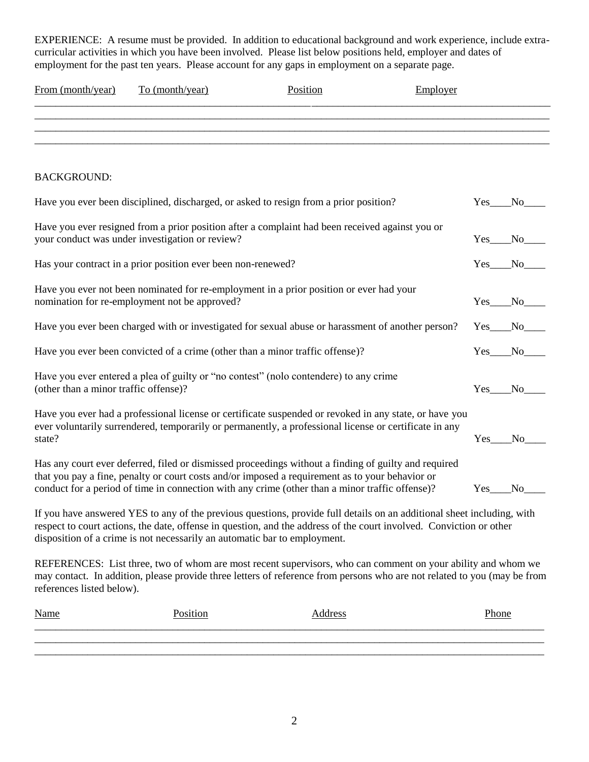EXPERIENCE: A resume must be provided. In addition to educational background and work experience, include extracurricular activities in which you have been involved. Please list below positions held, employer and dates of employment for the past ten years. Please account for any gaps in employment on a separate page.

| From (month/year)                     | To (month/year)<br>Position                                               |                                                                                                                                                                                                                                                                                                            | Employer |          |        |
|---------------------------------------|---------------------------------------------------------------------------|------------------------------------------------------------------------------------------------------------------------------------------------------------------------------------------------------------------------------------------------------------------------------------------------------------|----------|----------|--------|
|                                       |                                                                           |                                                                                                                                                                                                                                                                                                            |          |          |        |
|                                       |                                                                           |                                                                                                                                                                                                                                                                                                            |          |          |        |
| <b>BACKGROUND:</b>                    |                                                                           |                                                                                                                                                                                                                                                                                                            |          |          |        |
|                                       |                                                                           | Have you ever been disciplined, discharged, or asked to resign from a prior position?                                                                                                                                                                                                                      |          | Yes No   |        |
|                                       | your conduct was under investigation or review?                           | Have you ever resigned from a prior position after a complaint had been received against you or                                                                                                                                                                                                            |          | $Yes$ No |        |
|                                       | Has your contract in a prior position ever been non-renewed?              |                                                                                                                                                                                                                                                                                                            |          | $Yes$ No |        |
|                                       | nomination for re-employment not be approved?                             | Have you ever not been nominated for re-employment in a prior position or ever had your                                                                                                                                                                                                                    |          |          | Yes No |
|                                       |                                                                           | Have you ever been charged with or investigated for sexual abuse or harassment of another person?                                                                                                                                                                                                          |          |          | Yes No |
|                                       |                                                                           | Have you ever been convicted of a crime (other than a minor traffic offense)?                                                                                                                                                                                                                              |          | $Yes$ No |        |
| (other than a minor traffic offense)? |                                                                           | Have you ever entered a plea of guilty or "no contest" (nolo contendere) to any crime                                                                                                                                                                                                                      |          | Yes No   |        |
| state?                                |                                                                           | Have you ever had a professional license or certificate suspended or revoked in any state, or have you<br>ever voluntarily surrendered, temporarily or permanently, a professional license or certificate in any                                                                                           |          |          | Yes No |
|                                       |                                                                           | Has any court ever deferred, filed or dismissed proceedings without a finding of guilty and required<br>that you pay a fine, penalty or court costs and/or imposed a requirement as to your behavior or<br>conduct for a period of time in connection with any crime (other than a minor traffic offense)? |          | Yes      | No.    |
|                                       | disposition of a crime is not necessarily an automatic bar to employment. | If you have answered YES to any of the previous questions, provide full details on an additional sheet including, with<br>respect to court actions, the date, offense in question, and the address of the court involved. Conviction or other                                                              |          |          |        |
| references listed below).             |                                                                           | REFERENCES: List three, two of whom are most recent supervisors, who can comment on your ability and whom we<br>may contact. In addition, please provide three letters of reference from persons who are not related to you (may be from                                                                   |          |          |        |
| <b>Name</b>                           | Position                                                                  | <b>Address</b>                                                                                                                                                                                                                                                                                             |          | Phone    |        |
|                                       |                                                                           |                                                                                                                                                                                                                                                                                                            |          |          |        |

\_\_\_\_\_\_\_\_\_\_\_\_\_\_\_\_\_\_\_\_\_\_\_\_\_\_\_\_\_\_\_\_\_\_\_\_\_\_\_\_\_\_\_\_\_\_\_\_\_\_\_\_\_\_\_\_\_\_\_\_\_\_\_\_\_\_\_\_\_\_\_\_\_\_\_\_\_\_\_\_\_\_\_\_\_\_\_\_\_\_\_\_\_\_\_\_